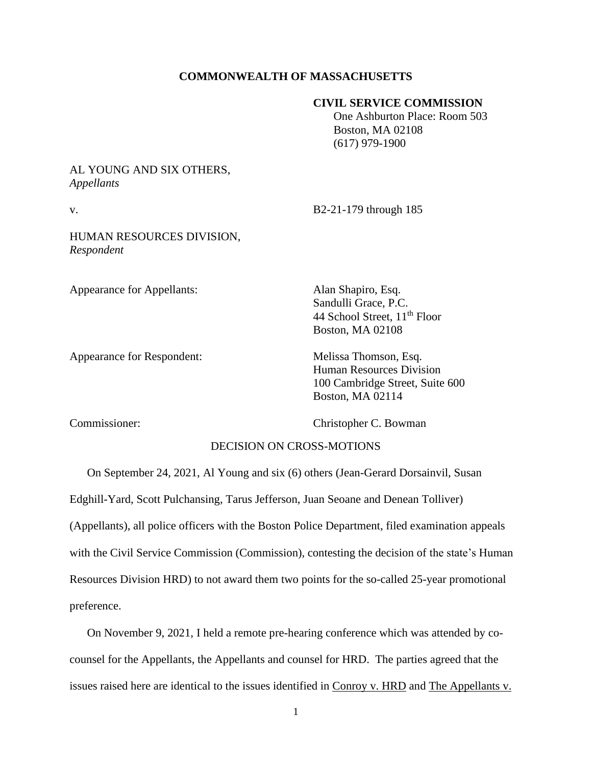### **COMMONWEALTH OF MASSACHUSETTS**

### **CIVIL SERVICE COMMISSION**

 One Ashburton Place: Room 503 Boston, MA 02108 (617) 979-1900

# AL YOUNG AND SIX OTHERS, *Appellants*

v. B2-21-179 through 185

## HUMAN RESOURCES DIVISION, *Respondent*

Appearance for Appellants: Alan Shapiro, Esq.

Appearance for Respondent: Melissa Thomson, Esq.

Sandulli Grace, P.C. 44 School Street, 11<sup>th</sup> Floor Boston, MA 02108

Human Resources Division 100 Cambridge Street, Suite 600 Boston, MA 02114

Commissioner: Christopher C. Bowman

# DECISION ON CROSS-MOTIONS

On September 24, 2021, Al Young and six (6) others (Jean-Gerard Dorsainvil, Susan Edghill-Yard, Scott Pulchansing, Tarus Jefferson, Juan Seoane and Denean Tolliver) (Appellants), all police officers with the Boston Police Department, filed examination appeals with the Civil Service Commission (Commission), contesting the decision of the state's Human Resources Division HRD) to not award them two points for the so-called 25-year promotional preference.

On November 9, 2021, I held a remote pre-hearing conference which was attended by cocounsel for the Appellants, the Appellants and counsel for HRD. The parties agreed that the issues raised here are identical to the issues identified in Conroy v. HRD and The Appellants v.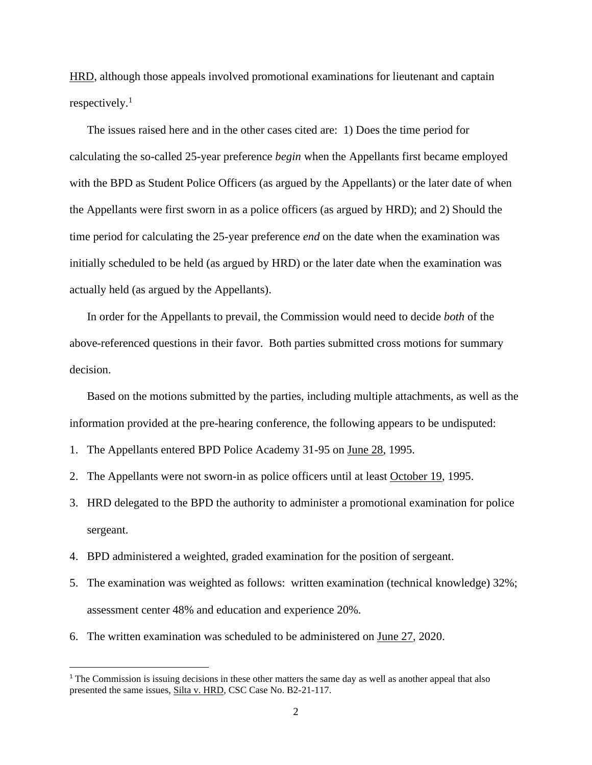HRD, although those appeals involved promotional examinations for lieutenant and captain respectively. $1$ 

The issues raised here and in the other cases cited are: 1) Does the time period for calculating the so-called 25-year preference *begin* when the Appellants first became employed with the BPD as Student Police Officers (as argued by the Appellants) or the later date of when the Appellants were first sworn in as a police officers (as argued by HRD); and 2) Should the time period for calculating the 25-year preference *end* on the date when the examination was initially scheduled to be held (as argued by HRD) or the later date when the examination was actually held (as argued by the Appellants).

In order for the Appellants to prevail, the Commission would need to decide *both* of the above-referenced questions in their favor. Both parties submitted cross motions for summary decision.

Based on the motions submitted by the parties, including multiple attachments, as well as the information provided at the pre-hearing conference, the following appears to be undisputed:

- 1. The Appellants entered BPD Police Academy 31-95 on June 28, 1995.
- 2. The Appellants were not sworn-in as police officers until at least October 19, 1995.
- 3. HRD delegated to the BPD the authority to administer a promotional examination for police sergeant.
- 4. BPD administered a weighted, graded examination for the position of sergeant.
- 5. The examination was weighted as follows: written examination (technical knowledge) 32%; assessment center 48% and education and experience 20%.
- 6. The written examination was scheduled to be administered on June 27, 2020.

<sup>&</sup>lt;sup>1</sup> The Commission is issuing decisions in these other matters the same day as well as another appeal that also presented the same issues, Silta v. HRD, CSC Case No. B2-21-117.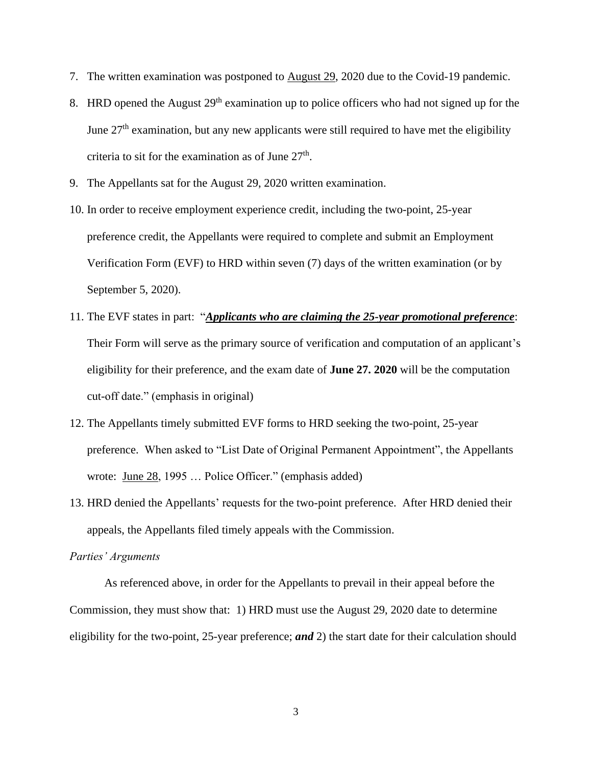- 7. The written examination was postponed to August 29, 2020 due to the Covid-19 pandemic.
- 8. HRD opened the August  $29<sup>th</sup>$  examination up to police officers who had not signed up for the June  $27<sup>th</sup>$  examination, but any new applicants were still required to have met the eligibility criteria to sit for the examination as of June  $27<sup>th</sup>$ .
- 9. The Appellants sat for the August 29, 2020 written examination.
- 10. In order to receive employment experience credit, including the two-point, 25-year preference credit, the Appellants were required to complete and submit an Employment Verification Form (EVF) to HRD within seven (7) days of the written examination (or by September 5, 2020).
- 11. The EVF states in part: "*Applicants who are claiming the 25-year promotional preference*: Their Form will serve as the primary source of verification and computation of an applicant's eligibility for their preference, and the exam date of **June 27. 2020** will be the computation cut-off date." (emphasis in original)
- 12. The Appellants timely submitted EVF forms to HRD seeking the two-point, 25-year preference. When asked to "List Date of Original Permanent Appointment", the Appellants wrote: June 28, 1995 ... Police Officer." (emphasis added)
- 13. HRD denied the Appellants' requests for the two-point preference. After HRD denied their appeals, the Appellants filed timely appeals with the Commission.

#### *Parties' Arguments*

As referenced above, in order for the Appellants to prevail in their appeal before the Commission, they must show that: 1) HRD must use the August 29, 2020 date to determine eligibility for the two-point, 25-year preference; *and* 2) the start date for their calculation should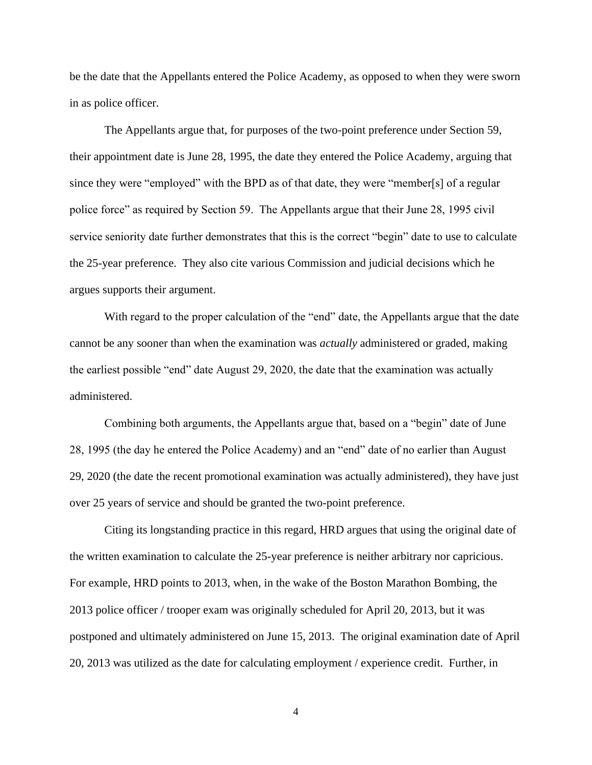be the date that the Appellants entered the Police Academy, as opposed to when they were sworn in as police officer.

The Appellants argue that, for purposes of the two-point preference under Section 59, their appointment date is June 28, 1995, the date they entered the Police Academy, arguing that since they were "employed" with the BPD as of that date, they were "member[s] of a regular police force" as required by Section 59. The Appellants argue that their June 28, 1995 civil service seniority date further demonstrates that this is the correct "begin" date to use to calculate the 25-year preference. They also cite various Commission and judicial decisions which he argues supports their argument.

With regard to the proper calculation of the "end" date, the Appellants argue that the date cannot be any sooner than when the examination was *actually* administered or graded, making the earliest possible "end" date August 29, 2020, the date that the examination was actually administered.

Combining both arguments, the Appellants argue that, based on a "begin" date of June 28, 1995 (the day he entered the Police Academy) and an "end" date of no earlier than August 29, 2020 (the date the recent promotional examination was actually administered), they have just over 25 years of service and should be granted the two-point preference.

Citing its longstanding practice in this regard, HRD argues that using the original date of the written examination to calculate the 25-year preference is neither arbitrary nor capricious. For example, HRD points to 2013, when, in the wake of the Boston Marathon Bombing, the 2013 police officer / trooper exam was originally scheduled for April 20, 2013, but it was postponed and ultimately administered on June 15, 2013. The original examination date of April 20, 2013 was utilized as the date for calculating employment / experience credit. Further, in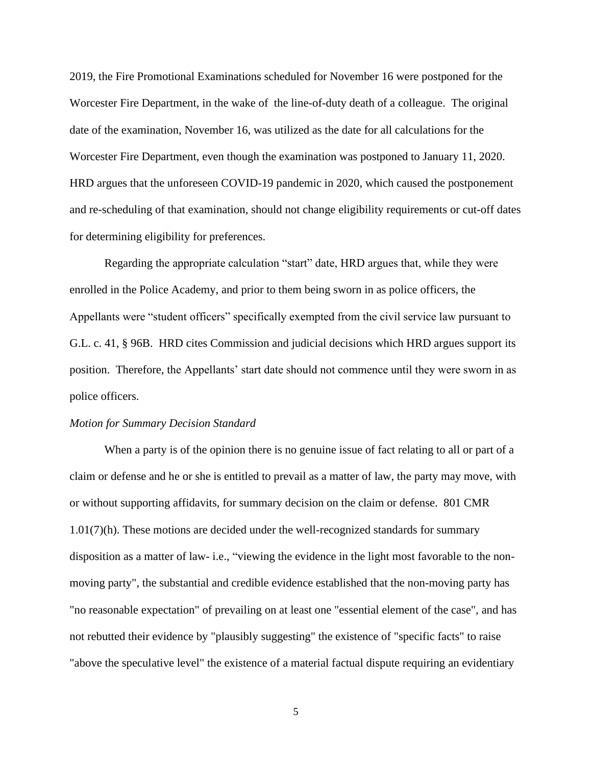2019, the Fire Promotional Examinations scheduled for November 16 were postponed for the Worcester Fire Department, in the wake of the line-of-duty death of a colleague. The original date of the examination, November 16, was utilized as the date for all calculations for the Worcester Fire Department, even though the examination was postponed to January 11, 2020. HRD argues that the unforeseen COVID-19 pandemic in 2020, which caused the postponement and re-scheduling of that examination, should not change eligibility requirements or cut-off dates for determining eligibility for preferences.

Regarding the appropriate calculation "start" date, HRD argues that, while they were enrolled in the Police Academy, and prior to them being sworn in as police officers, the Appellants were "student officers" specifically exempted from the civil service law pursuant to G.L. c. 41, § 96B. HRD cites Commission and judicial decisions which HRD argues support its position. Therefore, the Appellants' start date should not commence until they were sworn in as police officers.

#### *Motion for Summary Decision Standard*

When a party is of the opinion there is no genuine issue of fact relating to all or part of a claim or defense and he or she is entitled to prevail as a matter of law, the party may move, with or without supporting affidavits, for summary decision on the claim or defense. 801 CMR 1.01(7)(h). These motions are decided under the well-recognized standards for summary disposition as a matter of law- i.e., "viewing the evidence in the light most favorable to the nonmoving party", the substantial and credible evidence established that the non-moving party has "no reasonable expectation" of prevailing on at least one "essential element of the case", and has not rebutted their evidence by "plausibly suggesting" the existence of "specific facts" to raise "above the speculative level" the existence of a material factual dispute requiring an evidentiary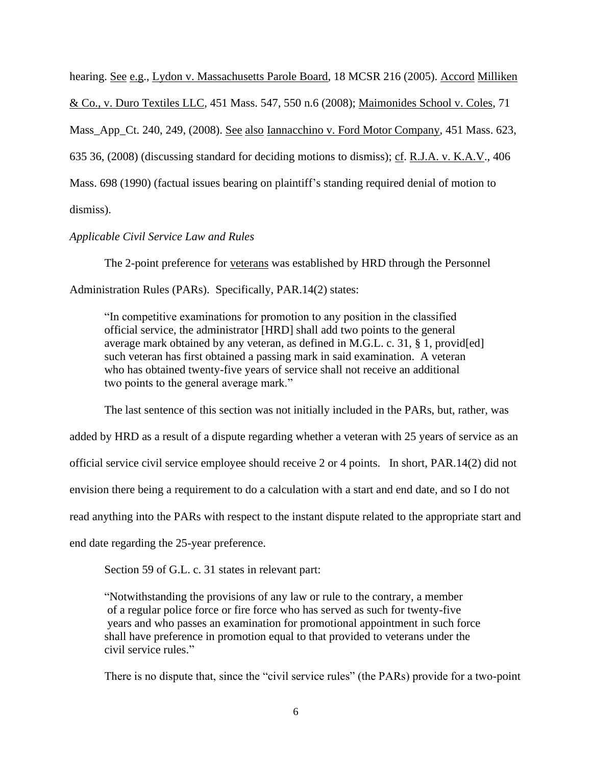hearing. See e.g., Lydon v. Massachusetts Parole Board, 18 MCSR 216 (2005). Accord Milliken & Co., v. Duro Textiles LLC, [451 Mass. 547,](http://sll.gvpi.net/document.php?field=jd&value=sjcapp:451_mass._547) 550 n.6 (2008); Maimonides School v. Coles, 71 Mass\_App\_Ct. 240, 249, (2008). See also Iannacchino v. Ford Motor Company, [451 Mass. 623,](http://sll.gvpi.net/document.php?field=jd&value=sjcapp:451_mass._623) 635 36, (2008) (discussing standard for deciding motions to dismiss); cf. R.J.A. v. K.A.V., [406](http://sll.gvpi.net/document.php?field=jd&value=sjcapp:406_mass._698)  [Mass. 698](http://sll.gvpi.net/document.php?field=jd&value=sjcapp:406_mass._698) (1990) (factual issues bearing on plaintiff's standing required denial of motion to dismiss).

*Applicable Civil Service Law and Rules*

The 2-point preference for veterans was established by HRD through the Personnel Administration Rules (PARs). Specifically, PAR.14(2) states:

"In competitive examinations for promotion to any position in the classified official service, the administrator [HRD] shall add two points to the general average mark obtained by any veteran, as defined in M.G.L. c. 31, § 1, provid[ed] such veteran has first obtained a passing mark in said examination. A veteran who has obtained twenty-five years of service shall not receive an additional two points to the general average mark."

The last sentence of this section was not initially included in the PARs, but, rather, was

added by HRD as a result of a dispute regarding whether a veteran with 25 years of service as an

official service civil service employee should receive 2 or 4 points. In short, PAR.14(2) did not

envision there being a requirement to do a calculation with a start and end date, and so I do not

read anything into the PARs with respect to the instant dispute related to the appropriate start and

end date regarding the 25-year preference.

Section 59 of G.L. c. 31 states in relevant part:

"Notwithstanding the provisions of any law or rule to the contrary, a member of a regular police force or fire force who has served as such for twenty-five years and who passes an examination for promotional appointment in such force shall have preference in promotion equal to that provided to veterans under the civil service rules."

There is no dispute that, since the "civil service rules" (the PARs) provide for a two-point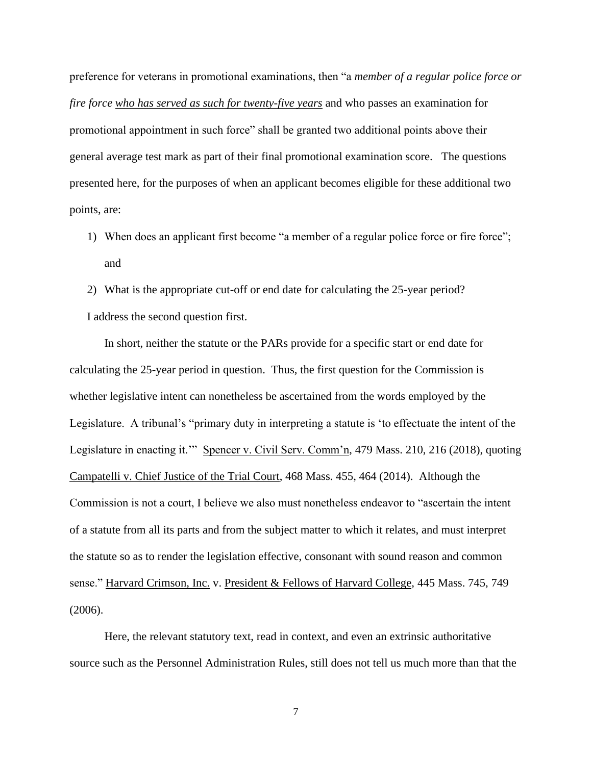preference for veterans in promotional examinations, then "a *member of a regular police force or fire force who has served as such for twenty-five years* and who passes an examination for promotional appointment in such force" shall be granted two additional points above their general average test mark as part of their final promotional examination score. The questions presented here, for the purposes of when an applicant becomes eligible for these additional two points, are:

- 1) When does an applicant first become "a member of a regular police force or fire force"; and
- 2) What is the appropriate cut-off or end date for calculating the 25-year period? I address the second question first.

In short, neither the statute or the PARs provide for a specific start or end date for calculating the 25-year period in question. Thus, the first question for the Commission is whether legislative intent can nonetheless be ascertained from the words employed by the Legislature. A tribunal's "primary duty in interpreting a statute is 'to effectuate the intent of the Legislature in enacting it.'" Spencer v. Civil Serv. Comm'n, 479 Mass. 210, 216 (2018), quoting Campatelli v. Chief Justice of the Trial Court, 468 Mass. 455, 464 (2014). Although the Commission is not a court, I believe we also must nonetheless endeavor to "ascertain the intent of a statute from all its parts and from the subject matter to which it relates, and must interpret the statute so as to render the legislation effective, consonant with sound reason and common sense." Harvard Crimson, Inc. v. President & Fellows of Harvard College, 445 Mass. 745, 749 (2006).

Here, the relevant statutory text, read in context, and even an extrinsic authoritative source such as the Personnel Administration Rules, still does not tell us much more than that the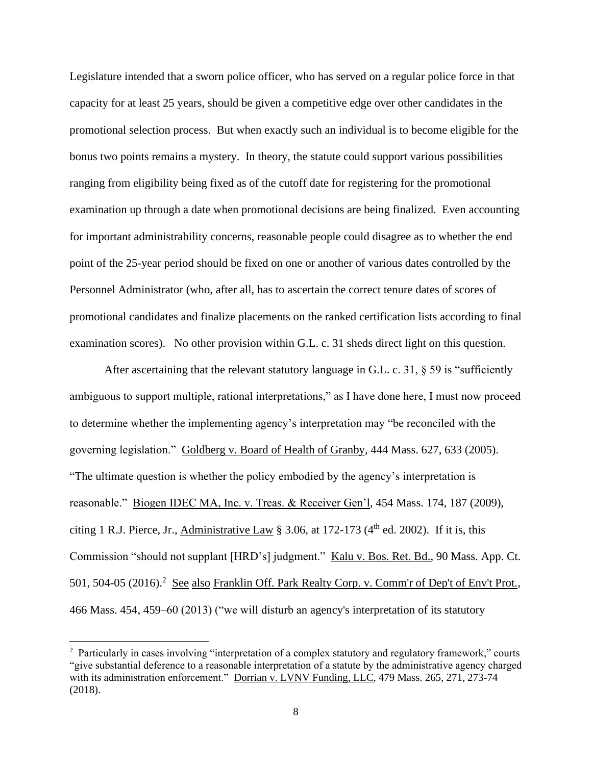Legislature intended that a sworn police officer, who has served on a regular police force in that capacity for at least 25 years, should be given a competitive edge over other candidates in the promotional selection process. But when exactly such an individual is to become eligible for the bonus two points remains a mystery. In theory, the statute could support various possibilities ranging from eligibility being fixed as of the cutoff date for registering for the promotional examination up through a date when promotional decisions are being finalized. Even accounting for important administrability concerns, reasonable people could disagree as to whether the end point of the 25-year period should be fixed on one or another of various dates controlled by the Personnel Administrator (who, after all, has to ascertain the correct tenure dates of scores of promotional candidates and finalize placements on the ranked certification lists according to final examination scores). No other provision within G.L. c. 31 sheds direct light on this question.

After ascertaining that the relevant statutory language in G.L. c. 31,  $\S$  59 is "sufficiently ambiguous to support multiple, rational interpretations," as I have done here, I must now proceed to determine whether the implementing agency's interpretation may "be reconciled with the governing legislation." Goldberg v. Board of Health of Granby, 444 Mass. 627, 633 (2005). "The ultimate question is whether the policy embodied by the agency's interpretation is reasonable." Biogen IDEC MA, Inc. v. Treas. & Receiver Gen'l, 454 Mass. 174, 187 (2009), citing 1 R.J. Pierce, Jr., Administrative Law  $\S 3.06$ , at 172-173 (4<sup>th</sup> ed. 2002). If it is, this Commission "should not supplant [HRD's] judgment." Kalu v. Bos. Ret. Bd., 90 Mass. App. Ct. 501, 504-05 (2016).<sup>2</sup> See also Franklin Off. Park Realty Corp. v. Comm'r of Dep't of Env't Prot., 466 Mass. 454, 459–60 (2013) ("we will disturb an agency's interpretation of its statutory

<sup>&</sup>lt;sup>2</sup> Particularly in cases involving "interpretation of a complex statutory and regulatory framework," courts "give substantial deference to a reasonable interpretation of a statute by the administrative agency charged with its administration enforcement." Dorrian v. LVNV Funding, LLC, 479 Mass. 265, 271, 273-74 (2018).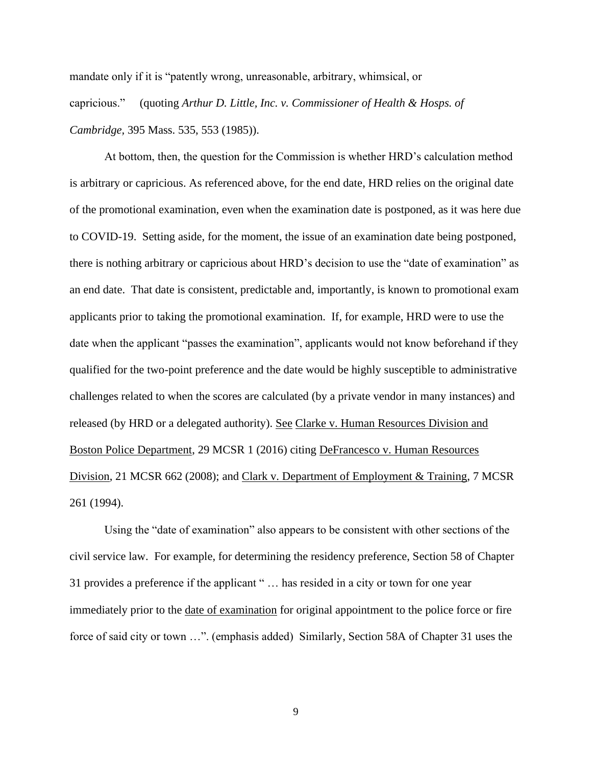mandate only if it is "patently wrong, unreasonable, arbitrary, whimsical, or capricious." (quoting *Arthur D. Little, Inc. v. Commissioner of Health & Hosps. of Cambridge,* 395 Mass. 535, 553 (1985)).

At bottom, then, the question for the Commission is whether HRD's calculation method is arbitrary or capricious. As referenced above, for the end date, HRD relies on the original date of the promotional examination, even when the examination date is postponed, as it was here due to COVID-19. Setting aside, for the moment, the issue of an examination date being postponed, there is nothing arbitrary or capricious about HRD's decision to use the "date of examination" as an end date. That date is consistent, predictable and, importantly, is known to promotional exam applicants prior to taking the promotional examination. If, for example, HRD were to use the date when the applicant "passes the examination", applicants would not know beforehand if they qualified for the two-point preference and the date would be highly susceptible to administrative challenges related to when the scores are calculated (by a private vendor in many instances) and released (by HRD or a delegated authority). See Clarke v. Human Resources Division and Boston Police Department, 29 MCSR 1 (2016) citing DeFrancesco v. Human Resources Division, 21 MCSR 662 (2008); and Clark v. Department of Employment & Training, 7 MCSR 261 (1994).

Using the "date of examination" also appears to be consistent with other sections of the civil service law. For example, for determining the residency preference, Section 58 of Chapter 31 provides a preference if the applicant " … has resided in a city or town for one year immediately prior to the date of examination for original appointment to the police force or fire force of said city or town …". (emphasis added) Similarly, Section 58A of Chapter 31 uses the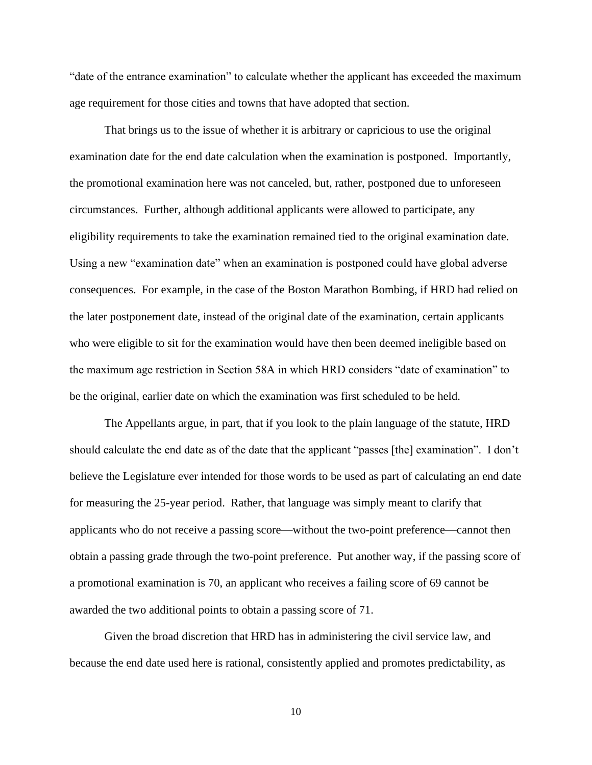"date of the entrance examination" to calculate whether the applicant has exceeded the maximum age requirement for those cities and towns that have adopted that section.

That brings us to the issue of whether it is arbitrary or capricious to use the original examination date for the end date calculation when the examination is postponed. Importantly, the promotional examination here was not canceled, but, rather, postponed due to unforeseen circumstances. Further, although additional applicants were allowed to participate, any eligibility requirements to take the examination remained tied to the original examination date. Using a new "examination date" when an examination is postponed could have global adverse consequences. For example, in the case of the Boston Marathon Bombing, if HRD had relied on the later postponement date, instead of the original date of the examination, certain applicants who were eligible to sit for the examination would have then been deemed ineligible based on the maximum age restriction in Section 58A in which HRD considers "date of examination" to be the original, earlier date on which the examination was first scheduled to be held.

The Appellants argue, in part, that if you look to the plain language of the statute, HRD should calculate the end date as of the date that the applicant "passes [the] examination". I don't believe the Legislature ever intended for those words to be used as part of calculating an end date for measuring the 25-year period. Rather, that language was simply meant to clarify that applicants who do not receive a passing score—without the two-point preference—cannot then obtain a passing grade through the two-point preference. Put another way, if the passing score of a promotional examination is 70, an applicant who receives a failing score of 69 cannot be awarded the two additional points to obtain a passing score of 71.

Given the broad discretion that HRD has in administering the civil service law, and because the end date used here is rational, consistently applied and promotes predictability, as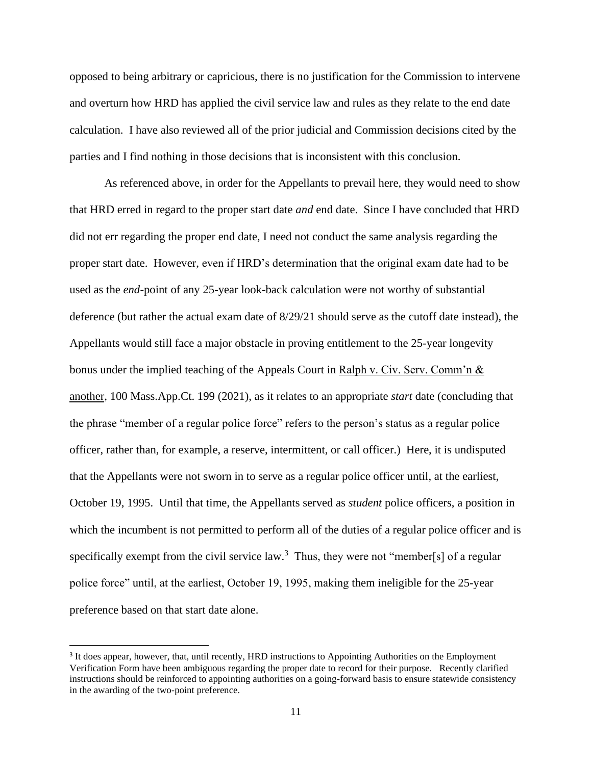opposed to being arbitrary or capricious, there is no justification for the Commission to intervene and overturn how HRD has applied the civil service law and rules as they relate to the end date calculation. I have also reviewed all of the prior judicial and Commission decisions cited by the parties and I find nothing in those decisions that is inconsistent with this conclusion.

As referenced above, in order for the Appellants to prevail here, they would need to show that HRD erred in regard to the proper start date *and* end date. Since I have concluded that HRD did not err regarding the proper end date, I need not conduct the same analysis regarding the proper start date. However, even if HRD's determination that the original exam date had to be used as the *end*-point of any 25-year look-back calculation were not worthy of substantial deference (but rather the actual exam date of 8/29/21 should serve as the cutoff date instead), the Appellants would still face a major obstacle in proving entitlement to the 25-year longevity bonus under the implied teaching of the Appeals Court in Ralph v. Civ. Serv. Comm'n & another, 100 Mass.App.Ct. 199 (2021), as it relates to an appropriate *start* date (concluding that the phrase "member of a regular police force" refers to the person's status as a regular police officer, rather than, for example, a reserve, intermittent, or call officer.) Here, it is undisputed that the Appellants were not sworn in to serve as a regular police officer until, at the earliest, October 19, 1995. Until that time, the Appellants served as *student* police officers, a position in which the incumbent is not permitted to perform all of the duties of a regular police officer and is specifically exempt from the civil service law.<sup>3</sup> Thus, they were not "member[s] of a regular police force" until, at the earliest, October 19, 1995, making them ineligible for the 25-year preference based on that start date alone.

<sup>&</sup>lt;sup>3</sup> It does appear, however, that, until recently, HRD instructions to Appointing Authorities on the Employment Verification Form have been ambiguous regarding the proper date to record for their purpose. Recently clarified instructions should be reinforced to appointing authorities on a going-forward basis to ensure statewide consistency in the awarding of the two-point preference.